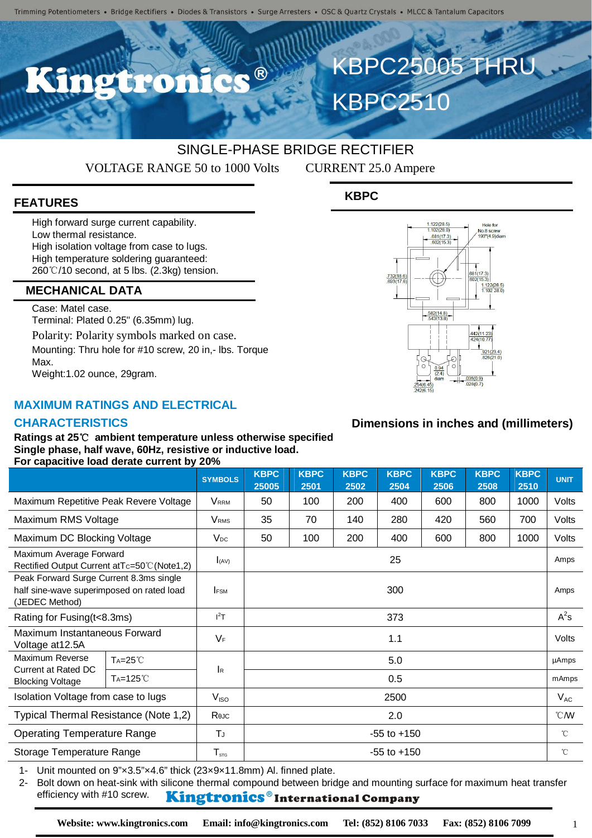$\bullet$ 

# SINGLE-PHASE BRIDGE RECTIFIER

VOLTAGE RANGE 50 to 1000 Volts CURRENT 25.0 Ampere

**KBPC2510** 

# **FEATURES**

High forward surge current capability. Low thermal resistance. High isolation voltage from case to lugs. High temperature soldering guaranteed: 260℃/10 second, at 5 lbs. (2.3kg) tension.

#### **MECHANICAL DATA**

Case: Matel case. Terminal: Plated 0.25" (6.35mm) lug. Polarity: Polarity symbols marked on case. Mounting: Thru hole for #10 screw, 20 in,- lbs. Torque Max. Weight:1.02 ounce, 29gram.

### **MAXIMUM RATINGS AND ELECTRICAL**

#### **CHARACTERISTICS**

#### **Ratings at 25**℃ **ambient temperature unless otherwise specified Single phase, half wave, 60Hz, resistive or inductive load. For capacitive load derate current by 20%**

|                                                                                                        |                      | <b>SYMBOLS</b>            | <b>KBPC</b><br>25005 | <b>KBPC</b><br>2501 | <b>KBPC</b><br>2502 | <b>KBPC</b><br>2504 | <b>KBPC</b><br>2506 | <b>KBPC</b><br>2508 | <b>KBPC</b><br>2510 | <b>UNIT</b>      |
|--------------------------------------------------------------------------------------------------------|----------------------|---------------------------|----------------------|---------------------|---------------------|---------------------|---------------------|---------------------|---------------------|------------------|
| Maximum Repetitive Peak Revere Voltage                                                                 |                      | <b>V</b> <sub>RRM</sub>   | 50                   | 100                 | 200                 | 400                 | 600                 | 800                 | 1000                | Volts            |
| Maximum RMS Voltage                                                                                    |                      | <b>V</b> <sub>RMS</sub>   | 35                   | 70                  | 140                 | 280                 | 420                 | 560                 | 700                 | Volts            |
| Maximum DC Blocking Voltage                                                                            |                      | $V_{DC}$                  | 50                   | 100                 | 200                 | 400                 | 600                 | 800                 | 1000                | Volts            |
| Maximum Average Forward<br>Rectified Output Current at Tc=50°C (Note1,2)                               |                      | (AV)                      | 25                   |                     |                     |                     |                     |                     |                     | Amps             |
| Peak Forward Surge Current 8.3ms single<br>half sine-wave superimposed on rated load<br>(JEDEC Method) |                      | <b>IFSM</b>               | 300                  |                     |                     |                     |                     |                     |                     | Amps             |
| Rating for Fusing (t<8.3ms)                                                                            |                      | $I^2T$                    | 373                  |                     |                     |                     |                     |                     |                     | $A^2s$           |
| Maximum Instantaneous Forward<br>Voltage at 12.5A                                                      |                      | $V_F$                     | 1.1                  |                     |                     |                     |                     |                     |                     | Volts            |
| Maximum Reverse<br>Current at Rated DC<br><b>Blocking Voltage</b>                                      | $Ta=25^{\circ}C$     | $\mathsf{I}_{\mathsf{R}}$ | 5.0                  |                     |                     |                     |                     |                     |                     | µAmps            |
|                                                                                                        | T <sub>A</sub> =125℃ |                           | 0.5                  |                     |                     |                     |                     |                     |                     | mAmps            |
| Isolation Voltage from case to lugs                                                                    |                      | V <sub>ISO</sub>          | 2500                 |                     |                     |                     |                     |                     |                     | $V_{AC}$         |
| Typical Thermal Resistance (Note 1,2)                                                                  |                      | Rejc                      | 2.0                  |                     |                     |                     |                     |                     |                     | $\mathcal{C}$ MV |
| <b>Operating Temperature Range</b>                                                                     |                      | TJ                        | $-55$ to $+150$      |                     |                     |                     |                     |                     |                     | $^{\circ}$ C     |
| Storage Temperature Range                                                                              |                      | ${\sf T}_{\sf src}$       | $-55$ to $+150$      |                     |                     |                     |                     |                     |                     | $^{\circ}$ C     |

1- Unit mounted on 9"×3.5"×4.6" thick (23×9×11.8mm) Al. finned plate.

2- Bolt down on heat-sink with silicone thermal compound between bridge and mounting surface for maximum heat transfer efficiency with #10 screw. Kingtronics®International Company

**KBPC**



KBPC25005 THRU

## **Dimensions in inches and (millimeters)**

1